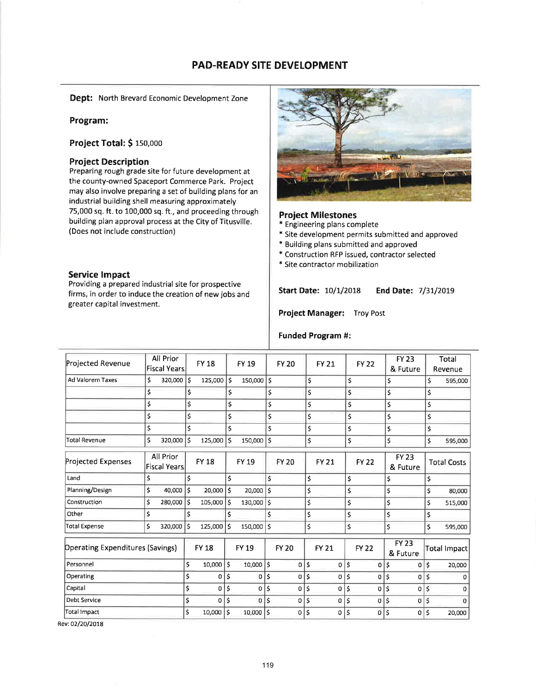## PAD-READY SITE DEVELOPMENT

Dept: North Brevard Economic Development Zone

## Program:

Project Total: \$ 150,000

#### Project Description

Preparing rough grade site for future development at the county-owned Spaceport Commerce Park. Project may also involve preparing a set of building plans for an industrial building shell measuring approximately 75,000 sq. ft. to 100,000 sq. ft., and proceeding through building plan approval process at the City of Titusville. (Does not include construction)

#### Service lmpact

Providing a prepared industrial site for prospective firms, in order to induce the creation of new jobs and greater capital investment.



Project Milestones<br>\* Engineering plans complete

- \* Site development permits submitted and approved
- \* Building plans submitted and approved
- \* Construction RFP issued, contractor selected
- \* Site contractor mobilization

#### Start Date: 10/1/2018 End Date: 7/31/2019

Project Manager: Troy Post

#### Funded Program #:

| Projected Revenue                |    | <b>All Prior</b><br><b>Fiscal Years</b> |    | <b>FY 18</b> |                         | <b>FY 19</b>   |                    | <b>FY 20</b> |     | <b>FY 21</b>   | <b>FY 22</b> |     | <b>FY 23</b><br>& Future |    | Total<br>Revenue   |
|----------------------------------|----|-----------------------------------------|----|--------------|-------------------------|----------------|--------------------|--------------|-----|----------------|--------------|-----|--------------------------|----|--------------------|
| <b>Ad Valorem Taxes</b>          | \$ | $320,000$ \$                            |    | $125,000$ \$ |                         | 150,000 \$     |                    |              | \$  |                | \$           | \$  |                          | \$ | 595,000            |
|                                  | \$ |                                         | \$ |              | \$                      |                | \$                 |              | \$  |                | \$           | \$  |                          | \$ |                    |
|                                  | \$ |                                         | \$ |              | \$                      |                | \$                 |              | \$  |                | \$           | \$  |                          | \$ |                    |
|                                  | \$ |                                         | \$ |              | \$                      |                | \$                 |              | \$  |                | \$           | \$  |                          | \$ |                    |
|                                  | \$ |                                         | \$ |              | Ś                       |                | \$                 |              | \$  |                | \$           | \$  |                          | \$ |                    |
| <b>Total Revenue</b>             | \$ | 320,000                                 | \$ | 125,000      | $\dot{\mathsf{s}}$      | 150,000        | $\mathsf{\hat{S}}$ |              | \$  |                | \$           | \$  |                          | \$ | 595,000            |
| Projected Expenses               |    | All Prior<br><b>Fiscal Years</b>        |    | <b>FY 18</b> |                         | FY 19          |                    | <b>FY 20</b> |     | <b>FY 21</b>   | <b>FY 22</b> |     | <b>FY 23</b><br>& Future |    | <b>Total Costs</b> |
| Land                             | \$ |                                         | Ś  |              | \$                      |                | \$                 |              | \$  |                | \$           | \$  |                          | \$ |                    |
| Planning/Design                  | \$ | 40,000                                  | \$ | 20,000       | $\mathsf{s}$            | 20,000         | \$                 |              | \$  |                | \$           | \$  |                          | \$ | 80,000             |
| Construction                     | \$ | 280,000                                 | \$ | 105,000      | Ŝ                       | 130,000        | \$                 |              | \$  |                | \$           | \$  |                          | \$ | 515,000            |
| Other                            | \$ |                                         | \$ |              | \$                      |                | \$                 |              | \$  |                | \$           | \$  |                          | \$ |                    |
| <b>Total Expense</b>             | \$ | 320,000                                 | \$ | 125,000      | ١s                      | 150,000        | $\mathsf{\hat{S}}$ |              | \$  |                | \$           | \$  |                          | \$ | 595,000            |
| Operating Expenditures (Savings) |    |                                         |    | <b>FY 18</b> |                         | <b>FY 19</b>   |                    | <b>FY 20</b> |     | <b>FY 21</b>   | <b>FY 22</b> |     | <b>FY 23</b><br>& Future |    | Total Impact       |
| Personnel                        |    |                                         | \$ | 10,000       | $\overline{\mathsf{S}}$ | $10,000$ \$    |                    | 0            | \$  | 0              | \$<br>0      | \$  | 0                        | \$ | 20,000             |
| Operating                        |    |                                         | \$ | $\Omega$     | \$                      | $\overline{0}$ | \$                 | 0            | ۱\$ | $\overline{0}$ | \$<br>0      | \$  | $\Omega$                 | Ś  |                    |
| Capital                          |    |                                         | \$ | $\Omega$     | \$                      | 0              | Ś                  | 0            | \$  | 0              | \$<br>0      | Ś   | 0                        | \$ |                    |
| <b>Debt Service</b>              |    |                                         | \$ | $\mathbf 0$  | \$                      | $\Omega$       | \$                 | 0            | \$  | 0              | \$<br>0      | \$  | 0                        | \$ | n                  |
| <b>Total Impact</b>              |    |                                         | \$ | 10,000       | \$                      | $10,000$   \$  |                    | 0            | \$  | 0              | \$<br>0      | l\$ | $\mathbf 0$              | Ś  | 20,000             |
|                                  |    |                                         |    |              |                         |                |                    |              |     |                |              |     |                          |    |                    |

Rev: 02/20/2018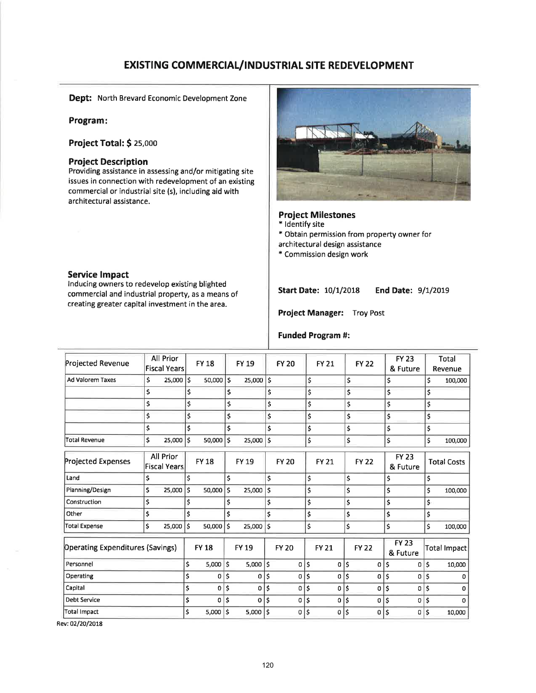# **EXISTING COMMERCIAL/INDUSTRIAL SITE REDEVELOPMENT**

Dept: North Brevard Economic Development Zone

#### Program:

**Project Total: \$ 25,000** 

#### **Project Description**

Providing assistance in assessing and/or mitigating site issues in connection with redevelopment of an existing commercial or industrial site (s), including aid with architectural assistance.

#### **Service Impact**

Inducing owners to redevelop existing blighted commercial and industrial property, as a means of creating greater capital investment in the area.



#### **Project Milestones**

- \* Identify site
- \* Obtain permission from property owner for
- architectural design assistance
- \* Commission design work

**End Date: 9/1/2019 Start Date: 10/1/2018** 

Project Manager: Troy Post

#### **Funded Program #:**

| Projected Revenue                       | All Prior<br><b>Fiscal Years</b> |                                  |    | <b>FY 18</b> |                    | <b>FY 19</b> |    | <b>FY 20</b> |    | <b>FY 21</b> | <b>FY 22</b> |              | <b>FY 23</b><br>& Future |    | <b>Total</b><br>Revenue |
|-----------------------------------------|----------------------------------|----------------------------------|----|--------------|--------------------|--------------|----|--------------|----|--------------|--------------|--------------|--------------------------|----|-------------------------|
| <b>Ad Valorem Taxes</b>                 | \$                               | 25,000                           | \$ | $50,000$ \$  |                    | 25,000       | ١ś |              | \$ |              | \$           |              | \$                       | \$ | 100,000                 |
|                                         | \$                               |                                  | \$ |              | \$                 |              | \$ |              | \$ |              | \$           |              | \$                       | \$ |                         |
|                                         | \$                               |                                  | \$ |              | \$                 |              | \$ |              | \$ |              | \$           |              | \$                       | \$ |                         |
|                                         | \$                               |                                  | \$ |              | \$                 |              | \$ |              | \$ |              | \$           |              | \$                       | \$ |                         |
|                                         | \$                               |                                  | \$ |              | \$                 |              | \$ |              | \$ |              | \$           |              | \$                       | \$ |                         |
| <b>Total Revenue</b>                    | \$                               | 25,000                           | \$ | 50,000       | $\mathsf{\hat{S}}$ | 25,000       | \$ |              | \$ |              | \$           |              | \$                       | \$ | 100,000                 |
| <b>Projected Expenses</b>               |                                  | All Prior<br><b>Fiscal Years</b> |    | <b>FY 18</b> |                    | FY 19        |    | <b>FY 20</b> |    | <b>FY 21</b> |              | <b>FY 22</b> | <b>FY 23</b><br>& Future |    | <b>Total Costs</b>      |
| Land                                    | \$                               |                                  | \$ |              | \$                 |              | \$ |              | \$ |              | \$           |              | \$                       | \$ |                         |
| Planning/Design                         | \$                               | 25,000                           | \$ | 50,000       | Ś                  | 25,000       | Ś  |              | \$ |              | \$           |              | \$                       | \$ | 100,000                 |
| Construction                            | \$                               |                                  | \$ |              | \$                 |              | \$ |              | \$ |              | \$           |              | \$                       | \$ |                         |
| Other                                   | \$                               |                                  | \$ |              | \$                 |              | \$ |              | \$ |              | \$           |              | \$                       | \$ |                         |
| <b>Total Expense</b>                    | \$                               | 25,000                           | \$ | 50,000       | ۱Ś                 | 25,000       | \$ |              | \$ |              | \$           |              | \$                       | \$ | 100,000                 |
| <b>Operating Expenditures (Savings)</b> |                                  |                                  |    | <b>FY 18</b> |                    | <b>FY 19</b> |    | <b>FY 20</b> |    | <b>FY 21</b> |              | <b>FY 22</b> | <b>FY 23</b><br>& Future |    | <b>Total Impact</b>     |
| Personnel                               |                                  |                                  | \$ | 5,000        | Ś                  | $5,000$ \$   |    | 0            | \$ | 0            | \$           | $\mathbf 0$  | \$<br>0                  | \$ | 10,000                  |
| Operating                               |                                  |                                  | \$ | o            | \$                 | 0            | \$ | $\mathbf 0$  | \$ | $\sigma$     | \$           | 0            | \$<br>0                  | \$ | n                       |
| Capital                                 |                                  |                                  | \$ | $\Omega$     | \$                 | $\Omega$     | \$ | $\Omega$     | Ś  | 0            | \$           | 0            | \$<br>0                  | \$ | 0                       |
| <b>Debt Service</b>                     |                                  |                                  | \$ | 0            | \$                 | 0            | \$ | 0            | \$ | 0            | \$           | 0            | \$<br>0                  | \$ | n.                      |
| <b>Total Impact</b>                     |                                  |                                  | Ś  | 5,000        | \$                 | $5,000$ \$   |    | 0            | \$ | 0            | \$           | 0            | \$<br>0                  | Ś  | 10,000                  |
|                                         |                                  |                                  |    |              |                    |              |    |              |    |              |              |              |                          |    |                         |

Rev: 02/20/2018